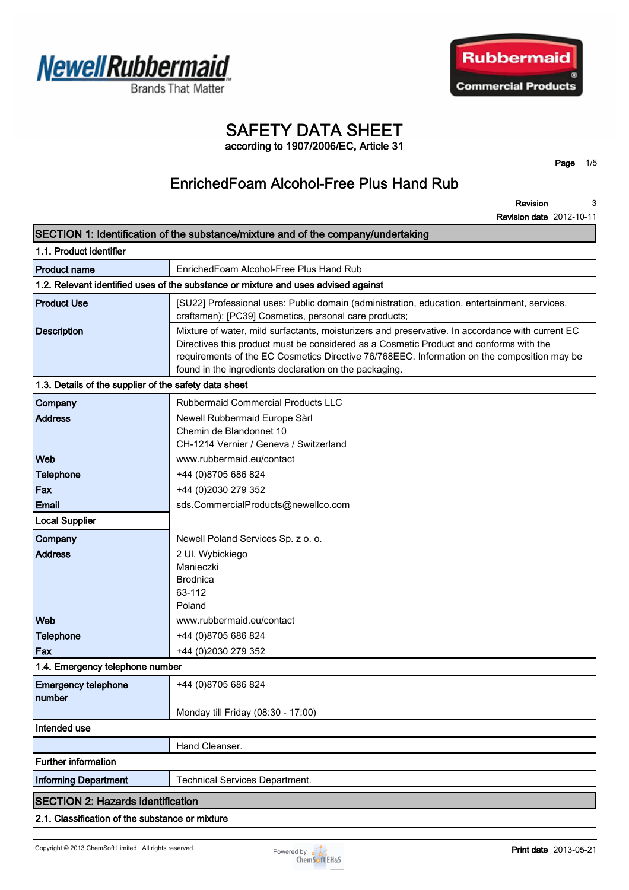



# **SAFETY DATA SHEET**

**according to 1907/2006/EC, Article 31**

**Page 1/5**

# **EnrichedFoam Alcohol-Free Plus Hand Rub**

**Revision Revision date 2012-10-11 3**

|                                                       | SECTION 1: Identification of the substance/mixture and of the company/undertaking                                                                                                                                                                                                                                                                   |
|-------------------------------------------------------|-----------------------------------------------------------------------------------------------------------------------------------------------------------------------------------------------------------------------------------------------------------------------------------------------------------------------------------------------------|
| 1.1. Product identifier                               |                                                                                                                                                                                                                                                                                                                                                     |
| <b>Product name</b>                                   | EnrichedFoam Alcohol-Free Plus Hand Rub                                                                                                                                                                                                                                                                                                             |
|                                                       | 1.2. Relevant identified uses of the substance or mixture and uses advised against                                                                                                                                                                                                                                                                  |
| <b>Product Use</b>                                    | [SU22] Professional uses: Public domain (administration, education, entertainment, services,<br>craftsmen); [PC39] Cosmetics, personal care products;                                                                                                                                                                                               |
| <b>Description</b>                                    | Mixture of water, mild surfactants, moisturizers and preservative. In accordance with current EC<br>Directives this product must be considered as a Cosmetic Product and conforms with the<br>requirements of the EC Cosmetics Directive 76/768EEC. Information on the composition may be<br>found in the ingredients declaration on the packaging. |
| 1.3. Details of the supplier of the safety data sheet |                                                                                                                                                                                                                                                                                                                                                     |
| Company                                               | Rubbermaid Commercial Products LLC                                                                                                                                                                                                                                                                                                                  |
| <b>Address</b>                                        | Newell Rubbermaid Europe Sàrl<br>Chemin de Blandonnet 10<br>CH-1214 Vernier / Geneva / Switzerland                                                                                                                                                                                                                                                  |
| Web                                                   | www.rubbermaid.eu/contact                                                                                                                                                                                                                                                                                                                           |
| <b>Telephone</b>                                      | +44 (0)8705 686 824                                                                                                                                                                                                                                                                                                                                 |
| Fax                                                   | +44 (0)2030 279 352                                                                                                                                                                                                                                                                                                                                 |
| <b>Email</b>                                          | sds.CommercialProducts@newellco.com                                                                                                                                                                                                                                                                                                                 |
| <b>Local Supplier</b>                                 |                                                                                                                                                                                                                                                                                                                                                     |
| Company                                               | Newell Poland Services Sp. z o. o.                                                                                                                                                                                                                                                                                                                  |
| <b>Address</b>                                        | 2 Ul. Wybickiego<br>Manieczki<br><b>Brodnica</b><br>63-112                                                                                                                                                                                                                                                                                          |
|                                                       | Poland                                                                                                                                                                                                                                                                                                                                              |
| Web                                                   | www.rubbermaid.eu/contact                                                                                                                                                                                                                                                                                                                           |
| <b>Telephone</b><br>Fax                               | +44 (0)8705 686 824<br>+44 (0)2030 279 352                                                                                                                                                                                                                                                                                                          |
| 1.4. Emergency telephone number                       |                                                                                                                                                                                                                                                                                                                                                     |
| <b>Emergency telephone</b><br>number                  | +44 (0)8705 686 824                                                                                                                                                                                                                                                                                                                                 |
|                                                       | Monday till Friday (08:30 - 17:00)                                                                                                                                                                                                                                                                                                                  |
| Intended use                                          |                                                                                                                                                                                                                                                                                                                                                     |
|                                                       | Hand Cleanser.                                                                                                                                                                                                                                                                                                                                      |
| <b>Further information</b>                            |                                                                                                                                                                                                                                                                                                                                                     |
| <b>Informing Department</b>                           | <b>Technical Services Department.</b>                                                                                                                                                                                                                                                                                                               |
| <b>SECTION 2: Hazards identification</b>              |                                                                                                                                                                                                                                                                                                                                                     |
| 2.1. Classification of the substance or mixture       |                                                                                                                                                                                                                                                                                                                                                     |

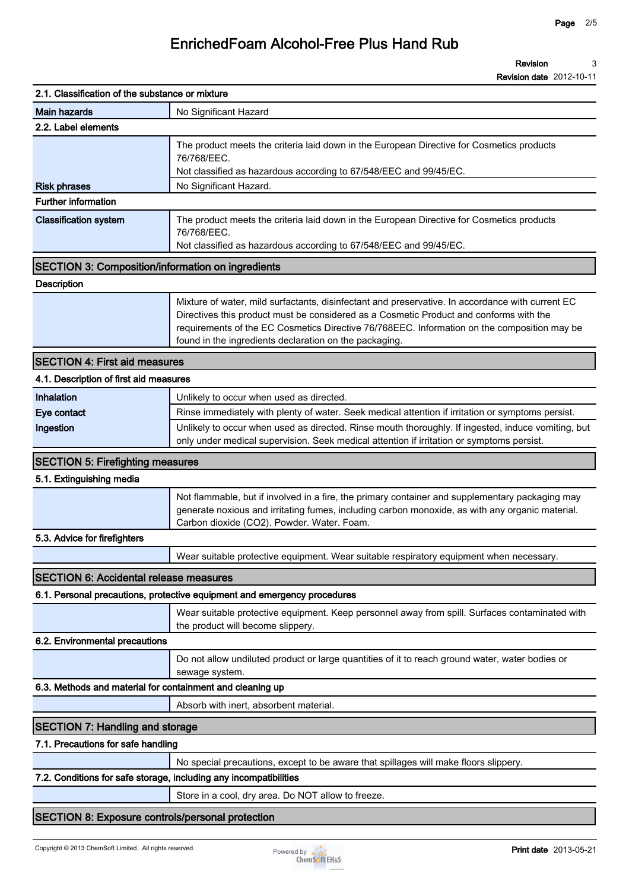**Revision Revision date 2012-10-11 3**

| 2.1. Classification of the substance or mixture                   |                                                                                                                                                                                                                                                                                                                                                     |
|-------------------------------------------------------------------|-----------------------------------------------------------------------------------------------------------------------------------------------------------------------------------------------------------------------------------------------------------------------------------------------------------------------------------------------------|
| <b>Main hazards</b>                                               | No Significant Hazard                                                                                                                                                                                                                                                                                                                               |
| 2.2. Label elements                                               |                                                                                                                                                                                                                                                                                                                                                     |
|                                                                   | The product meets the criteria laid down in the European Directive for Cosmetics products<br>76/768/EEC.<br>Not classified as hazardous according to 67/548/EEC and 99/45/EC.                                                                                                                                                                       |
| <b>Risk phrases</b>                                               | No Significant Hazard.                                                                                                                                                                                                                                                                                                                              |
| <b>Further information</b>                                        |                                                                                                                                                                                                                                                                                                                                                     |
| <b>Classification system</b>                                      | The product meets the criteria laid down in the European Directive for Cosmetics products<br>76/768/EEC.<br>Not classified as hazardous according to 67/548/EEC and 99/45/EC.                                                                                                                                                                       |
| <b>SECTION 3: Composition/information on ingredients</b>          |                                                                                                                                                                                                                                                                                                                                                     |
| <b>Description</b>                                                |                                                                                                                                                                                                                                                                                                                                                     |
|                                                                   | Mixture of water, mild surfactants, disinfectant and preservative. In accordance with current EC<br>Directives this product must be considered as a Cosmetic Product and conforms with the<br>requirements of the EC Cosmetics Directive 76/768EEC. Information on the composition may be<br>found in the ingredients declaration on the packaging. |
| <b>SECTION 4: First aid measures</b>                              |                                                                                                                                                                                                                                                                                                                                                     |
| 4.1. Description of first aid measures                            |                                                                                                                                                                                                                                                                                                                                                     |
| Inhalation                                                        | Unlikely to occur when used as directed.                                                                                                                                                                                                                                                                                                            |
| Eye contact                                                       | Rinse immediately with plenty of water. Seek medical attention if irritation or symptoms persist.                                                                                                                                                                                                                                                   |
| Ingestion                                                         | Unlikely to occur when used as directed. Rinse mouth thoroughly. If ingested, induce vomiting, but<br>only under medical supervision. Seek medical attention if irritation or symptoms persist.                                                                                                                                                     |
| <b>SECTION 5: Firefighting measures</b>                           |                                                                                                                                                                                                                                                                                                                                                     |
| 5.1. Extinguishing media                                          |                                                                                                                                                                                                                                                                                                                                                     |
|                                                                   | Not flammable, but if involved in a fire, the primary container and supplementary packaging may<br>generate noxious and irritating fumes, including carbon monoxide, as with any organic material.<br>Carbon dioxide (CO2). Powder. Water. Foam.                                                                                                    |
| 5.3. Advice for firefighters                                      |                                                                                                                                                                                                                                                                                                                                                     |
|                                                                   | Wear suitable protective equipment. Wear suitable respiratory equipment when necessary.                                                                                                                                                                                                                                                             |
| <b>SECTION 6: Accidental release measures</b>                     |                                                                                                                                                                                                                                                                                                                                                     |
|                                                                   | 6.1. Personal precautions, protective equipment and emergency procedures                                                                                                                                                                                                                                                                            |
|                                                                   | Wear suitable protective equipment. Keep personnel away from spill. Surfaces contaminated with<br>the product will become slippery.                                                                                                                                                                                                                 |
| 6.2. Environmental precautions                                    |                                                                                                                                                                                                                                                                                                                                                     |
|                                                                   | Do not allow undiluted product or large quantities of it to reach ground water, water bodies or<br>sewage system.                                                                                                                                                                                                                                   |
| 6.3. Methods and material for containment and cleaning up         |                                                                                                                                                                                                                                                                                                                                                     |
|                                                                   | Absorb with inert, absorbent material.                                                                                                                                                                                                                                                                                                              |
| <b>SECTION 7: Handling and storage</b>                            |                                                                                                                                                                                                                                                                                                                                                     |
| 7.1. Precautions for safe handling                                |                                                                                                                                                                                                                                                                                                                                                     |
|                                                                   | No special precautions, except to be aware that spillages will make floors slippery.                                                                                                                                                                                                                                                                |
| 7.2. Conditions for safe storage, including any incompatibilities |                                                                                                                                                                                                                                                                                                                                                     |
|                                                                   | Store in a cool, dry area. Do NOT allow to freeze.                                                                                                                                                                                                                                                                                                  |
|                                                                   |                                                                                                                                                                                                                                                                                                                                                     |
| <b>SECTION 8: Exposure controls/personal protection</b>           |                                                                                                                                                                                                                                                                                                                                                     |

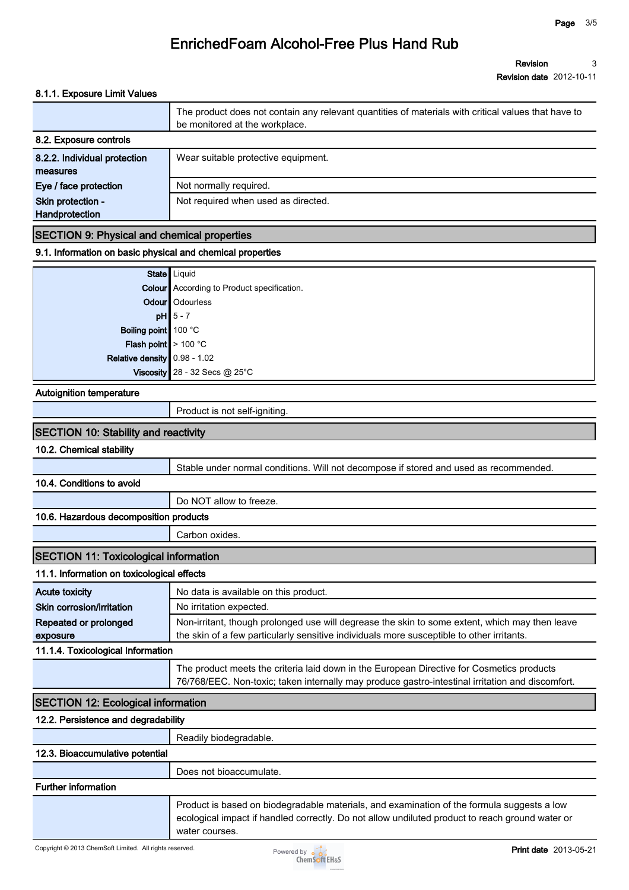#### **8.1.1. Exposure Limit Values**

|                                          | The product does not contain any relevant quantities of materials with critical values that have to<br>be monitored at the workplace. |
|------------------------------------------|---------------------------------------------------------------------------------------------------------------------------------------|
| 8.2. Exposure controls                   |                                                                                                                                       |
| 8.2.2. Individual protection<br>measures | Wear suitable protective equipment.                                                                                                   |
| Eye / face protection                    | Not normally required.                                                                                                                |
| Skin protection -<br>Handprotection      | Not required when used as directed.                                                                                                   |

#### **SECTION 9: Physical and chemical properties**

#### **9.1. Information on basic physical and chemical properties**

|                                | State   Liquid                                    |
|--------------------------------|---------------------------------------------------|
|                                | <b>Colour</b> According to Product specification. |
|                                | Odour   Odourless                                 |
|                                | $pH$ 5 - 7                                        |
| Boiling point 100 °C           |                                                   |
| Flash point $> 100 °C$         |                                                   |
| Relative density $0.98 - 1.02$ |                                                   |
|                                | Viscosity 28 - 32 Secs @ $25^{\circ}$ C           |

#### **Autoignition temperature**

| Product is not self-igniting. |  |
|-------------------------------|--|
|-------------------------------|--|

| <b>SECTION 10: Stability and reactivity</b>  |                                                                                                                                                                                                                 |
|----------------------------------------------|-----------------------------------------------------------------------------------------------------------------------------------------------------------------------------------------------------------------|
| 10.2. Chemical stability                     |                                                                                                                                                                                                                 |
|                                              | Stable under normal conditions. Will not decompose if stored and used as recommended.                                                                                                                           |
| 10.4. Conditions to avoid                    |                                                                                                                                                                                                                 |
|                                              | Do NOT allow to freeze.                                                                                                                                                                                         |
| 10.6. Hazardous decomposition products       |                                                                                                                                                                                                                 |
|                                              | Carbon oxides.                                                                                                                                                                                                  |
| <b>SECTION 11: Toxicological information</b> |                                                                                                                                                                                                                 |
| 11.1. Information on toxicological effects   |                                                                                                                                                                                                                 |
| <b>Acute toxicity</b>                        | No data is available on this product.                                                                                                                                                                           |
| Skin corrosion/irritation                    | No irritation expected.                                                                                                                                                                                         |
| Repeated or prolonged<br>exposure            | Non-irritant, though prolonged use will degrease the skin to some extent, which may then leave<br>the skin of a few particularly sensitive individuals more susceptible to other irritants.                     |
| 11.1.4. Toxicological Information            |                                                                                                                                                                                                                 |
|                                              | The product meets the criteria laid down in the European Directive for Cosmetics products<br>76/768/EEC. Non-toxic; taken internally may produce gastro-intestinal irritation and discomfort.                   |
| <b>SECTION 12: Ecological information</b>    |                                                                                                                                                                                                                 |
| 12.2. Persistence and degradability          |                                                                                                                                                                                                                 |
|                                              | Readily biodegradable.                                                                                                                                                                                          |
| 12.3. Bioaccumulative potential              |                                                                                                                                                                                                                 |
|                                              | Does not bioaccumulate.                                                                                                                                                                                         |
| <b>Further information</b>                   |                                                                                                                                                                                                                 |
|                                              | Product is based on biodegradable materials, and examination of the formula suggests a low<br>ecological impact if handled correctly. Do not allow undiluted product to reach ground water or<br>water courses. |

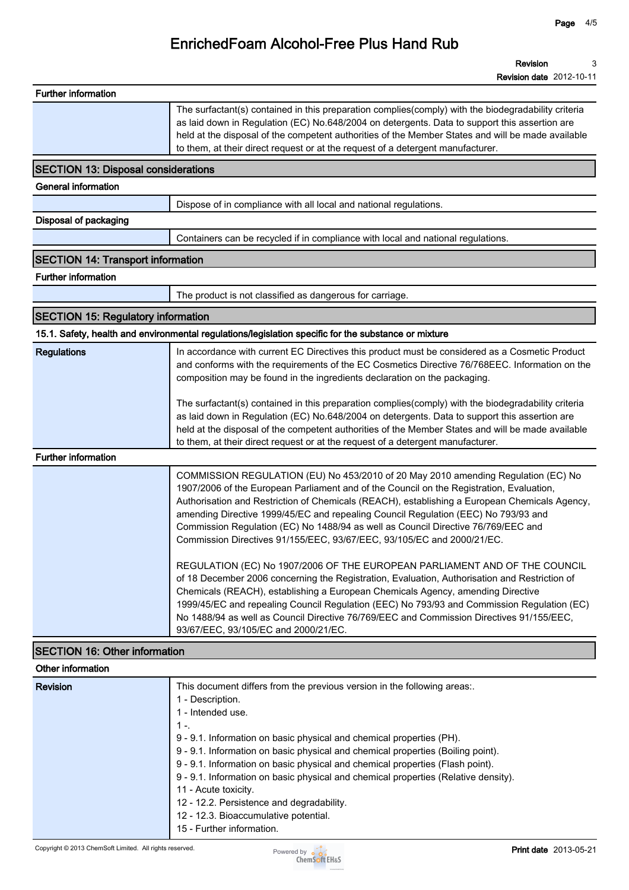| <b>Further information</b>                              |                                                                                                                                                                                                                                                                                                                                                                                                                                                                                                                                                                                                         |
|---------------------------------------------------------|---------------------------------------------------------------------------------------------------------------------------------------------------------------------------------------------------------------------------------------------------------------------------------------------------------------------------------------------------------------------------------------------------------------------------------------------------------------------------------------------------------------------------------------------------------------------------------------------------------|
|                                                         | The surfactant(s) contained in this preparation complies(comply) with the biodegradability criteria<br>as laid down in Regulation (EC) No.648/2004 on detergents. Data to support this assertion are<br>held at the disposal of the competent authorities of the Member States and will be made available<br>to them, at their direct request or at the request of a detergent manufacturer.                                                                                                                                                                                                            |
| <b>SECTION 13: Disposal considerations</b>              |                                                                                                                                                                                                                                                                                                                                                                                                                                                                                                                                                                                                         |
| <b>General information</b>                              |                                                                                                                                                                                                                                                                                                                                                                                                                                                                                                                                                                                                         |
|                                                         | Dispose of in compliance with all local and national regulations.                                                                                                                                                                                                                                                                                                                                                                                                                                                                                                                                       |
| Disposal of packaging                                   |                                                                                                                                                                                                                                                                                                                                                                                                                                                                                                                                                                                                         |
|                                                         | Containers can be recycled if in compliance with local and national regulations.                                                                                                                                                                                                                                                                                                                                                                                                                                                                                                                        |
| <b>SECTION 14: Transport information</b>                |                                                                                                                                                                                                                                                                                                                                                                                                                                                                                                                                                                                                         |
| <b>Further information</b>                              |                                                                                                                                                                                                                                                                                                                                                                                                                                                                                                                                                                                                         |
|                                                         | The product is not classified as dangerous for carriage.                                                                                                                                                                                                                                                                                                                                                                                                                                                                                                                                                |
| <b>SECTION 15: Regulatory information</b>               |                                                                                                                                                                                                                                                                                                                                                                                                                                                                                                                                                                                                         |
|                                                         | 15.1. Safety, health and environmental regulations/legislation specific for the substance or mixture                                                                                                                                                                                                                                                                                                                                                                                                                                                                                                    |
| <b>Regulations</b>                                      | In accordance with current EC Directives this product must be considered as a Cosmetic Product<br>and conforms with the requirements of the EC Cosmetics Directive 76/768EEC. Information on the<br>composition may be found in the ingredients declaration on the packaging.                                                                                                                                                                                                                                                                                                                           |
|                                                         | The surfactant(s) contained in this preparation complies(comply) with the biodegradability criteria<br>as laid down in Regulation (EC) No.648/2004 on detergents. Data to support this assertion are<br>held at the disposal of the competent authorities of the Member States and will be made available<br>to them, at their direct request or at the request of a detergent manufacturer.                                                                                                                                                                                                            |
| <b>Further information</b>                              |                                                                                                                                                                                                                                                                                                                                                                                                                                                                                                                                                                                                         |
|                                                         | COMMISSION REGULATION (EU) No 453/2010 of 20 May 2010 amending Regulation (EC) No<br>1907/2006 of the European Parliament and of the Council on the Registration, Evaluation,<br>Authorisation and Restriction of Chemicals (REACH), establishing a European Chemicals Agency,<br>amending Directive 1999/45/EC and repealing Council Regulation (EEC) No 793/93 and<br>Commission Regulation (EC) No 1488/94 as well as Council Directive 76/769/EEC and<br>Commission Directives 91/155/EEC, 93/67/EEC, 93/105/EC and 2000/21/EC.                                                                     |
|                                                         | REGULATION (EC) No 1907/2006 OF THE EUROPEAN PARLIAMENT AND OF THE COUNCIL<br>of 18 December 2006 concerning the Registration, Evaluation, Authorisation and Restriction of<br>Chemicals (REACH), establishing a European Chemicals Agency, amending Directive<br>1999/45/EC and repealing Council Regulation (EEC) No 793/93 and Commission Regulation (EC)<br>No 1488/94 as well as Council Directive 76/769/EEC and Commission Directives 91/155/EEC,<br>93/67/EEC, 93/105/EC and 2000/21/EC.                                                                                                        |
| <b>SECTION 16: Other information</b>                    |                                                                                                                                                                                                                                                                                                                                                                                                                                                                                                                                                                                                         |
| Other information                                       |                                                                                                                                                                                                                                                                                                                                                                                                                                                                                                                                                                                                         |
| <b>Revision</b>                                         | This document differs from the previous version in the following areas:.<br>1 - Description.<br>1 - Intended use.<br>$1 -$<br>9 - 9.1. Information on basic physical and chemical properties (PH).<br>9 - 9.1. Information on basic physical and chemical properties (Boiling point).<br>9 - 9.1. Information on basic physical and chemical properties (Flash point).<br>9 - 9.1. Information on basic physical and chemical properties (Relative density).<br>11 - Acute toxicity.<br>12 - 12.2. Persistence and degradability.<br>12 - 12.3. Bioaccumulative potential.<br>15 - Further information. |
| Copyright © 2013 ChemSoft Limited. All rights reserved. | Print date 2013-05-21<br>Powered by                                                                                                                                                                                                                                                                                                                                                                                                                                                                                                                                                                     |